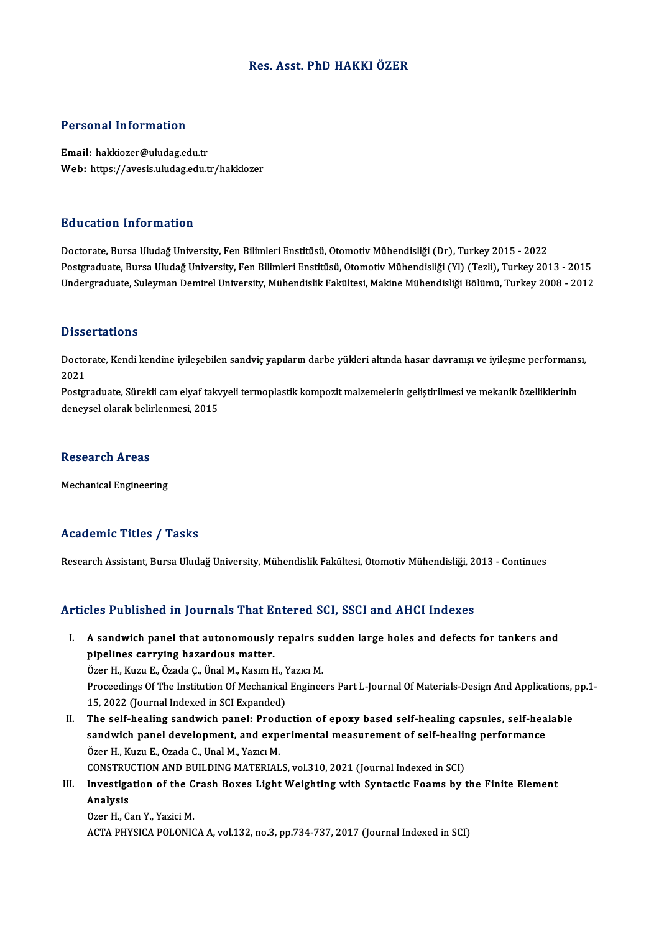# Res. Asst. PhD HAKKIÖZER

## Personal Information

Email: hakkiozer@uludag.edu.tr Web: https://avesis.uludag.edu.tr/hakkiozer

## Education Information

Doctorate, Bursa Uludağ University, Fen Bilimleri Enstitüsü, Otomotiv Mühendisliği (Dr), Turkey 2015 - 2022 Postgraduate, Bursa Uludağ University, Fen Bilimleri Enstitüsü, Otomotiv Mühendisliği (Yl) (Tezli), Turkey 2013 - 2015 Undergraduate, Suleyman Demirel University, Mühendislik Fakültesi, Makine Mühendisliği Bölümü, Turkey 2008 - 2012

### **Dissertations**

Dissertations<br>Doctorate, Kendi kendine iyileşebilen sandviç yapıların darbe yükleri altında hasar davranışı ve iyileşme performansı,<br>2021 Dasse<br>Docto<br>2021 Doctorate, Kendi kendine iyileşebilen sandviç yapıların darbe yükleri altında hasar davranışı ve iyileşme performans<br>2021<br>Postgraduate, Sürekli cam elyaf takvyeli termoplastik kompozit malzemelerin geliştirilmesi ve mekani

2021<br>Postgraduate, Sürekli cam elyaf takv<br>deneysel olarak belirlenmesi, 2015 deneysel olarak belirlenmesi, 2015<br>Research Areas

Mechanical Engineering

## Academic Titles / Tasks

Research Assistant, Bursa Uludağ University, Mühendislik Fakültesi, Otomotiv Mühendisliği, 2013 - Continues

## Articles Published in Journals That Entered SCI, SSCI and AHCI Indexes

rticles Published in Journals That Entered SCI, SSCI and AHCI Indexes<br>I. A sandwich panel that autonomously repairs sudden large holes and defects for tankers and<br>Princlines serving bagadous matter A sandwich panel that autonomously<br>pipelines carrying hazardous matter.<br>Organ H. Kuru E. Özada C. Ünal M. Kasım b A sandwich panel that autonomously repairs suppelines carrying hazardous matter.<br>Özer H., Kuzu E., Özada Ç., Ünal M., Kasım H., Yazıcı M.<br>Preseedings Of The Institution Of Mechanical Engines

Özer H., Kuzu E., Özada Ç., Ünal M., Kasım H., Yazıcı M.

pipelines carrying hazardous matter.<br>Özer H., Kuzu E., Özada Ç., Ünal M., Kasım H., Yazıcı M.<br>Proceedings Of The Institution Of Mechanical Engineers Part L-Journal Of Materials-Design And Applications, pp.1-<br>15, 2022 (Jour Proceedings Of The Institution Of Mechanical Engineers Part L-Journal Of Materials-Design And Applications,<br>15, 2022 (Journal Indexed in SCI Expanded)<br>II. The self-healing sandwich panel: Production of epoxy based self-hea

15, 2022 (Journal Indexed in SCI Expanded)<br>The self-healing sandwich panel: Production of epoxy based self-healing capsules, self-hea<br>sandwich panel development, and experimental measurement of self-healing performance<br>Öze The self-healing sandwich panel: Prod<br>sandwich panel development, and exp<br>Özer H., Kuzu E., Ozada C., Unal M., Yazıcı M.<br>CONSTRUCTION AND RUU DINC MATERIAL sandwich panel development, and experimental measurement of self-healine<br>Özer H., Kuzu E., Ozada C., Unal M., Yazıcı M.<br>CONSTRUCTION AND BUILDING MATERIALS, vol.310, 2021 (Journal Indexed in SCI)<br>Investigation of the Crash Özer H., Kuzu E., Ozada C., Unal M., Yazıcı M.<br>CONSTRUCTION AND BUILDING MATERIALS, vol.310, 2021 (Journal Indexed in SCI)<br>III. Investigation of the Crash Boxes Light Weighting with Syntactic Foams by the Finite Element<br>An

CONSTRU<br>Investiga<br>Analysis<br>Ozer H. C **Investigation of the C<br>Analysis<br>Ozer H., Can Y., Yazici M.**<br>ACTA PHYSICA POLONIC

Analysis<br>Ozer H., Can Y., Yazici M.<br>ACTA PHYSICA POLONICA A, vol.132, no.3, pp.734-737, 2017 (Journal Indexed in SCI)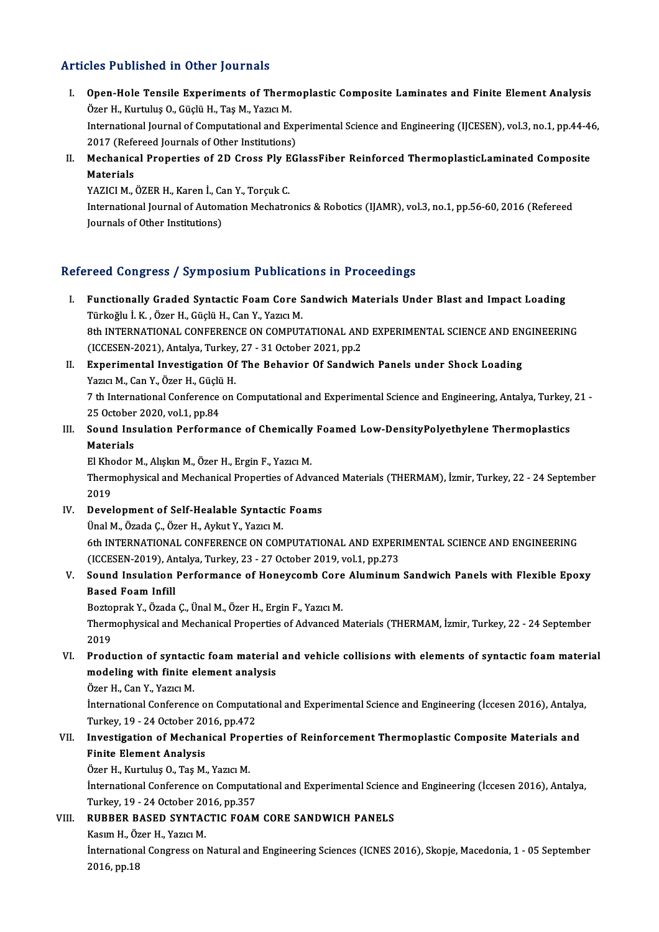# Articles Published in Other Journals

- rticles Published in Other Journals<br>I. Open-Hole Tensile Experiments of Thermoplastic Composite Laminates and Finite Element Analysis<br>Öser H. Kurtulus O. Cöcki H. Tee M. Verre M. over Tabrishod in Other Journals<br>Open-Hole Tensile Experiments of Thern<br>Özer H., Kurtuluş O., Güçlü H., Taş M., Yazıcı M. Open-Hole Tensile Experiments of Thermoplastic Composite Laminates and Finite Element Analysis<br>Özer H., Kurtuluş O., Güçlü H., Taş M., Yazıcı M.<br>International Journal of Computational and Experimental Science and Engineeri Özer H., Kurtuluş O., Güçlü H., Taş M., Yazıcı M.<br>International Journal of Computational and Exp<br>2017 (Refereed Journals of Other Institutions)<br>Mechanisal Properties of 2D Gross Ply EG International Journal of Computational and Experimental Science and Engineering (IJCESEN), vol.3, no.1, pp.44-4<br>2017 (Refereed Journals of Other Institutions)<br>II. Mechanical Properties of 2D Cross Ply EGlassFiber Reinforce
- 2017 (Refe<br>Mechanica<br>Materials<br>VAZICLM Mechanical Properties of 2D Cross Ply E<br>Materials<br>YAZICI M., ÖZER H., Karen İ., Can Y., Torçuk C.<br>International Jaurnal of Automation Mechatre

YAZICI M., ÖZER H., Karen İ., Can Y., Torçuk C.

Materials<br>YAZICI M., ÖZER H., Karen İ., Can Y., Torçuk C.<br>International Journal of Automation Mechatronics & Robotics (IJAMR), vol.3, no.1, pp.56-60, 2016 (Refereed<br>Journals of Other Institutions)

# Refereed Congress / Symposium Publications in Proceedings

- efereed Congress / Symposium Publications in Proceedings<br>I. Functionally Graded Syntactic Foam Core Sandwich Materials Under Blast and Impact Loading<br>Türkoğlu i K. Özer H. Güelü H. Can V. Yezre M Türkoğlu İ.K., Özer H., Güçlü H., Can Y., Yazıcı M.<br>Türkoğlu İ.K., Özer H., Güçlü H., Can Y., Yazıcı M.<br>9th INTERNATIONAL CONEERENCE ON COMBIT Functionally Graded Syntactic Foam Core Sandwich Materials Under Blast and Impact Loading<br>Türkoğlu İ. K. , Özer H., Güçlü H., Can Y., Yazıcı M.<br>8th INTERNATIONAL CONFERENCE ON COMPUTATIONAL AND EXPERIMENTAL SCIENCE AND ENG Türkoğlu İ. K. , Özer H., Güçlü H., Can Y., Yazıcı M.<br>8th INTERNATIONAL CONFERENCE ON COMPUTATIONAL ANI<br>(ICCESEN-2021), Antalya, Turkey, 27 - 31 October 2021, pp.2<br>Eunonimental Investisation Of The Behavier Of Sandwi 8th INTERNATIONAL CONFERENCE ON COMPUTATIONAL AND EXPERIMENTAL SCIENCE AND EN<br>(ICCESEN-2021), Antalya, Turkey, 27 - 31 October 2021, pp.2<br>II. Experimental Investigation Of The Behavior Of Sandwich Panels under Shock Loadin
- (ICCESEN-2021), Antalya, Turkey<br>**Experimental Investigation Of**<br>Yazıcı M., Can Y., Özer H., Güçlü H.<br>7 th International Conference on II. Experimental Investigation Of The Behavior Of Sandwich Panels under Shock Loading<br>Yazıcı M., Can Y., Özer H., Güçlü H.<br>7 th International Conference on Computational and Experimental Science and Engineering, Antalya, T Yazıcı M., Can Y., Özer H., Güçlü<br>7 th International Conference<br>25 October 2020, vol.1, pp.84<br>Saund Insulation Barforma
- 7 th International Conference on Computational and Experimental Science and Engineering, Antalya, Turkey,<br>25 October 2020, vol.1, pp.84<br>III. Sound Insulation Performance of Chemically Foamed Low-DensityPolyethylene Thermop 25 October<br>Sound Ins<br>Materials<br>El Kheder Sound Insulation Performance of Chemically<br>Materials<br>El Khodor M., Alışkın M., Özer H., Ergin F., Yazıcı M.<br>Thermonbusisel and Meshanisel Properties of Adv

Materials<br>El Khodor M., Alışkın M., Özer H., Ergin F., Yazıcı M.<br>Thermophysical and Mechanical Properties of Advanced Materials (THERMAM), İzmir, Turkey, 22 - 24 September<br>2019 El Khodor M., Alışkın M., Özer H., Ergin F., Yazıcı M.

IV. Development of Self-Healable Syntactic Foams ÜnalM.,ÖzadaÇ.,ÖzerH.,AykutY.,YazıcıM. Development of Self-Healable Syntactic Foams<br>Ünal M., Özada Ç., Özer H., Aykut Y., Yazıcı M.<br>6th INTERNATIONAL CONFERENCE ON COMPUTATIONAL AND EXPERIMENTAL SCIENCE AND ENGINEERING<br>(ICCESEN 2010), Antalya Turkay 22, 27 Osta Ünal M., Özada Ç., Özer H., Aykut Y., Yazıcı M.<br>6th INTERNATIONAL CONFERENCE ON COMPUTATIONAL AND EXPER<br>(ICCESEN-2019), Antalya, Turkey, 23 - 27 October 2019, vol.1, pp.273<br>Saund Insulation Berformance of Heneysemb Core Al 6th INTERNATIONAL CONFERENCE ON COMPUTATIONAL AND EXPERIMENTAL SCIENCE AND ENGINEERING<br>(ICCESEN-2019), Antalya, Turkey, 23 - 27 October 2019, vol.1, pp.273<br>V. Sound Insulation Performance of Honeycomb Core Aluminum Sandwic

# (ICCESEN-2019), A<br>Sound Insulation<br>Based Foam Infill<br>Bortonral: V. Örede Sound Insulation Performance of Honeycomb Core<br>Based Foam Infill<br>Boztoprak Y., Özada Ç., Ünal M., Özer H., Ergin F., Yazıcı M.<br>Thermophysisel and Mechanisel Properties of Advanced l

Based Foam Infill<br>Boztoprak Y., Özada Ç., Ünal M., Özer H., Ergin F., Yazıcı M.<br>Thermophysical and Mechanical Properties of Advanced Materials (THERMAM, İzmir, Turkey, 22 - 24 September<br>2019 Bozto<br>Thern<br>2019<br>Predi Thermophysical and Mechanical Properties of Advanced Materials (THERMAM, İzmir, Turkey, 22 - 24 September<br>2019<br>VI. Production of syntactic foam material and vehicle collisions with elements of syntactic foam material<br>model

2019<br>Production of syntactic foam material<br>modeling with finite element analysis<br>Özer H. Car Y. Yazıa M Production of syntact<br>modeling with finite e<br>Özer H., Can Y., Yazıcı M.<br>International Conference modeling with finite element analysis<br>Özer H., Can Y., Yazıcı M.<br>İnternational Conference on Computational and Experimental Science and Engineering (İccesen 2016), Antalya,

Özer H., Can Y., Yazıcı M.<br>İnternational Conference on Computat<br>Turkey, 19 - 24 October 2016, pp.472<br>Investigation of Meshanisal Brone International Conference on Computational and Experimental Science and Engineering (İccesen 2016), Antalya<br>Turkey, 19 - 24 October 2016, pp.472<br>VII. Investigation of Mechanical Properties of Reinforcement Thermoplastic Com

# Turkey, 19 - 24 October 20<br>Investigation of Mechan<br>Finite Element Analysis<br>Özer H. Kurtulus O. Tes M Investigation of Mechanical Prop<br>Finite Element Analysis<br>Özer H., Kurtuluş O., Taş M., Yazıcı M.<br>İnternational Conference on Comput

Finite Element Analysis<br>Özer H., Kurtuluş O., Taş M., Yazıcı M.<br>İnternational Conference on Computational and Experimental Science and Engineering (İccesen 2016), Antalya,<br>Turkay, 19., 24 October 2016, np.257 Özer H., Kurtuluş O., Taş M., Yazıcı M.<br>İnternational Conference on Computat<br>Turkey, 19 - 24 October 2016, pp.357<br>PUPPER BASED SYNTACTIC FOAM International Conference on Computational and Experimental Science<br>Turkey, 19 - 24 October 2016, pp.357<br>VIII. RUBBER BASED SYNTACTIC FOAM CORE SANDWICH PANELS<br>Kasum H. Özer H. Vaziei M. Turkey, 19 - 24 October 20<br>RUBBER BASED SYNTA<br>Kasım H., Özer H., Yazıcı M.<br>İnternational Congress on

Kasım H., Özer H., Yazıcı M.

İnternational Congress on Natural and Engineering Sciences (ICNES 2016), Skopje, Macedonia, 1 - 05 September<br>2016, pp.18